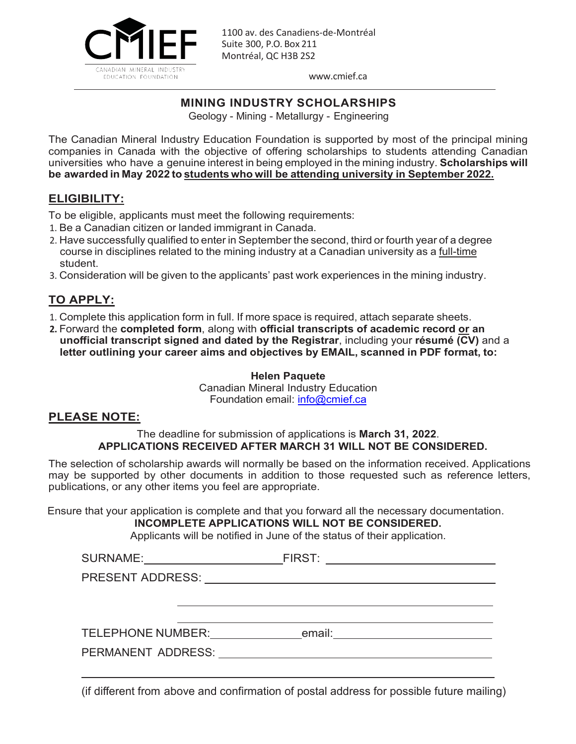

[www.cmief.ca](http://www.cmief.ca/)

### **MINING INDUSTRY SCHOLARSHIPS**

Geology - Mining - Metallurgy - Engineering

The Canadian Mineral Industry Education Foundation is supported by most of the principal mining companies in Canada with the objective of offering scholarships to students attending Canadian universities who have a genuine interest in being employed in the mining industry. **Scholarships will be awarded in May 2022 to students who will be attending university in September 2022.**

#### **ELIGIBILITY:**

To be eligible, applicants must meet the following requirements:

- 1. Be a Canadian citizen or landed immigrant in Canada.
- 2. Have successfully qualified to enter in September the second, third or fourth year of a degree course in disciplines related to the mining industry at a Canadian university as a full-time student.
- 3. Consideration will be given to the applicants' past work experiences in the mining industry.

# **TO APPLY:**

- 1. Complete this application form in full. If more space is required, attach separate sheets.
- **2.** Forward the **completed form**, along with **official transcripts of academic record or an unofficial transcript signed and dated by the Registrar**, including your **résumé (CV)** and a **letter outlining your career aims and objectives by EMAIL, scanned in PDF format, to:**

**Helen Paquete** Canadian Mineral Industry Education Foundation email: [info@cmief.ca](mailto:info@cmief.ca)

#### **PLEASE NOTE:**

#### The deadline for submission of applications is **March 31, 2022**. **APPLICATIONS RECEIVED AFTER MARCH 31 WILL NOT BE CONSIDERED.**

The selection of scholarship awards will normally be based on the information received. Applications may be supported by other documents in addition to those requested such as reference letters, publications, or any other items you feel are appropriate.

Ensure that your application is complete and that you forward all the necessary documentation.

### **INCOMPLETE APPLICATIONS WILL NOT BE CONSIDERED.**

Applicants will be notified in June of the status of their application.

| <b>SURNAME:</b>          | FIRST: |
|--------------------------|--------|
| <b>PRESENT ADDRESS:</b>  |        |
|                          |        |
|                          |        |
| <b>TELEPHONE NUMBER:</b> | email: |
| PERMANENT ADDRESS:       |        |
|                          |        |

(if different from above and confirmation of postal address for possible future mailing)